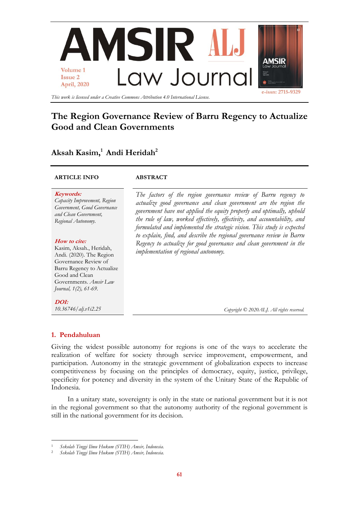

*This work is licensed under a Creative Commons Attribution 4.0 International License.*

# **The Region Governance Review of Barru Regency to Actualize Good and Clean Governments**

# **Aksah Kasim,<sup>1</sup> Andi Heridah 2**

# **ARTICLE INFO ABSTRACT**

## **Keywords:**

*Capacity Improvement, Region Government, Good Governance and Clean Government, Regional Autonomy.*

## **How to cite:**

Kasim, Aksah., Heridah, Andi. (2020). The Region Governance Review of Barru Regency to Actualize Good and Clean Governments. *Amsir Law Journal, 1(2), 61-69.*

**DOI:** *10.36746/alj.v1i2.25*

*The factors of the region governance review of Barru regency to actualize good governance and clean government are the region the government have not applied the equity properly and optimally, uphold the rule of law, worked effectively, effectivity, and accountability, and formulated and implemented the strategic vision. This study is expected to explain, find, and describe the regional governance review in Barru Regency to actualize for good governance and clean government in the implementation of regional autonomy.*

*Copyright © 2020ALJ. All rights reserved.*

# **1. Pendahuluan**

 $\overline{a}$ 

Giving the widest possible autonomy for regions is one of the ways to accelerate the realization of welfare for society through service improvement, empowerment, and participation. Autonomy in the strategic government of globalization expects to increase competitiveness by focusing on the principles of democracy, equity, justice, privilege, specificity for potency and diversity in the system of the Unitary State of the Republic of Indonesia.

In a unitary state, sovereignty is only in the state or national government but it is not in the regional government so that the autonomy authority of the regional government is still in the national government for its decision.

<sup>1</sup> *Sekolah Tinggi Ilmu Hukum (STIH) Amsir, Indonesia.*

<sup>2</sup> *Sekolah Tinggi Ilmu Hukum (STIH) Amsir, Indonesia.*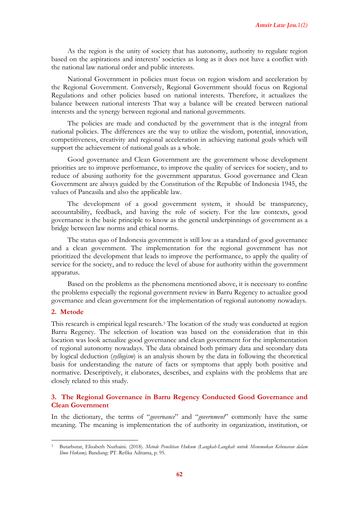As the region is the unity of society that has autonomy, authority to regulate region based on the aspirations and interests' societies as long as it does not have a conflict with the national law national order and public interests.

National Government in policies must focus on region wisdom and acceleration by the Regional Government. Conversely, Regional Government should focus on Regional Regulations and other policies based on national interests. Therefore, it actualizes the balance between national interests That way a balance will be created between national interests and the synergy between regional and national governments.

The policies are made and conducted by the government that is the integral from national policies. The differences are the way to utilize the wisdom, potential, innovation, competitiveness, creativity and regional acceleration in achieving national goals which will support the achievement of national goals as a whole.

Good governance and Clean Government are the government whose development priorities are to improve performance, to improve the quality of services for society, and to reduce of abusing authority for the government apparatus. Good governance and Clean Government are always guided by the Constitution of the Republic of Indonesia 1945, the values of Pancasila and also the applicable law.

The development of a good government system, it should be transparency, accountability, feedback, and having the role of society. For the law contexts, good governance is the basic principle to know as the general underpinnings of government as a bridge between law norms and ethical norms.

The status quo of Indonesia government is still low as a standard of good governance and a clean government. The implementation for the regional government has not prioritized the development that leads to improve the performance, to apply the quality of service for the society, and to reduce the level of abuse for authority within the government apparatus.

Based on the problems as the phenomena mentioned above, it is necessary to confine the problems especially the regional government review in Barru Regency to actualize good governance and clean government for the implementation of regional autonomy nowadays.

#### **2. Metode**

 $\overline{a}$ 

This research is empirical legal research.<sup>3</sup> The location of the study was conducted at region Barru Regency. The selection of location was based on the consideration that in this location was look actualize good governance and clean government for the implementation of regional autonomy nowadays. The data obtained both primary data and secondary data by logical deduction (*syllogism*) is an analysis shown by the data in following the theoretical basis for understanding the nature of facts or symptoms that apply both positive and normative. Descriptively, it elaborates, describes, and explains with the problems that are closely related to this study.

# **3. The Regional Governance in Barru Regency Conducted Good Governance and Clean Government**

In the dictionary, the terms of "*governance*" and "*government*" commonly have the same meaning. The meaning is implementation the of authority in organization, institution, or

<sup>3</sup> Butarbutar, Elisabeth Nurhaini. (2018). *Metode Penelitian Hukum (Langkah-Langkah untuk Menemukan Kebenaran dalam Ilmu Hukum),* Bandung: PT. Refika Aditama, p. 95.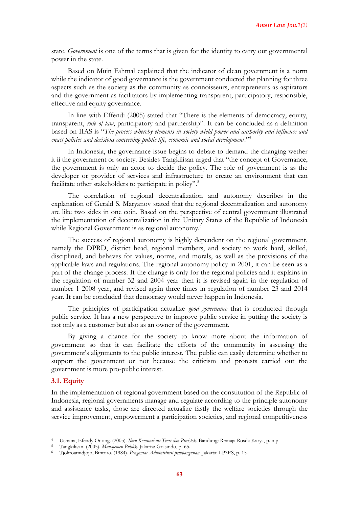state. *Government* is one of the terms that is given for the identity to carry out governmental power in the state.

Based on Muin Fahmal explained that the indicator of clean government is a norm while the indicator of good governance is the government conducted the planning for three aspects such as the society as the community as connoisseurs, entrepreneurs as aspirators and the government as facilitators by implementing transparent, participatory, responsible, effective and equity governance.

In line with Effendi (2005) stated that "There is the elements of democracy, equity, transparent, *rule of law*, participatory and partnership". It can be concluded as a definition based on IIAS is "*The process whereby elements in society wield power and authority and influence and enact policies and decisions concerning public life, economic and social development*."<sup>4</sup>

In Indonesia, the governance issue begins to debate to demand the changing wether it ii the government or society. Besides Tangkilisan urged that "the concept of Governance, the government is only an actor to decide the policy. The role of government is as the developer or provider of services and infrastructure to create an environment that can facilitate other stakeholders to participate in policy".<sup>5</sup>

The correlation of regional decentralization and autonomy describes in the explanation of Gerald S. Maryanov stated that the regional decentralization and autonomy are like two sides in one coin. Based on the perspective of central government illustrated the implementation of decentralization in the Unitary States of the Republic of Indonesia while Regional Government is as regional autonomy.<sup>6</sup>

The success of regional autonomy is highly dependent on the regional government, namely the DPRD, district head, regional members, and society to work hard, skilled, disciplined, and behaves for values, norms, and morals, as well as the provisions of the applicable laws and regulations. The regional autonomy policy in 2001, it can be seen as a part of the change process. If the change is only for the regional policies and it explains in the regulation of number 32 and 2004 year then it is revised again in the regulation of number 1 2008 year, and revised again three times in regulation of number 23 and 2014 year. It can be concluded that democracy would never happen in Indonesia.

The principles of participation actualize *good governance* that is conducted through public service. It has a new perspective to improve public service in putting the society is not only as a customer but also as an owner of the government.

By giving a chance for the society to know more about the information of government so that it can facilitate the efforts of the community in assessing the government's alignments to the public interest. The public can easily determine whether to support the government or not because the criticism and protests carried out the government is more pro-public interest.

# **3.1. Equity**

 $\overline{a}$ 

In the implementation of regional government based on the constitution of the Republic of Indonesia, regional governments manage and regulate according to the principle autonomy and assistance tasks, those are directed actualize fastly the welfare societies through the service improvement, empowerment a participation societies, and regional competitiveness

<sup>4</sup> Uchana, Efendy Onong. (2005). *Ilmu Komunikasi Teori dan Praktek*. Bandung: Remaja Rosda Karya, p. n.p.

<sup>5</sup> Tangkilisan. (2005). *Manajemen Publik*. Jakarta: Grasindo, p. 65.

<sup>6</sup> Tjokroamidjojo, Bintoro. (1984). *Pengantar Administrasi pembangunan.* Jakarta: LP3ES, p. 15.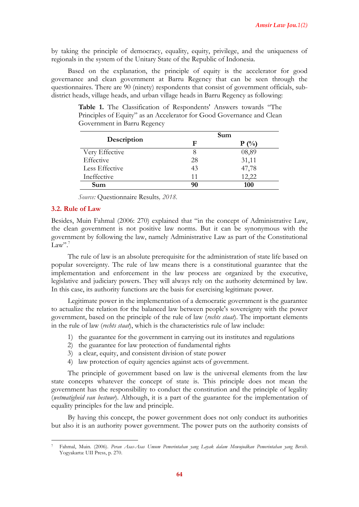by taking the principle of democracy, equality, equity, privilege, and the uniqueness of regionals in the system of the Unitary State of the Republic of Indonesia.

Based on the explanation, the principle of equity is the accelerator for good governance and clean government at Barru Regency that can be seen through the questionnaires. There are 90 (ninety) respondents that consist of government officials, subdistrict heads, village heads, and urban village heads in Barru Regency as following:

**Table 1.** The Classification of Respondents' Answers towards "The

**Description Sum F P (%)** Very Effective 8 08,89

Principles of Equity" as an Accelerator for Good Governance and Clean Government in Barru Regency

Effective 28 31,11 Less Effective 43 47,78  $In effective$  11  $12,22$ **Sum 90 100**

|  | Source: Questionnaire Results, 2018. |  |  |
|--|--------------------------------------|--|--|
|--|--------------------------------------|--|--|

#### **3.2. Rule of Law**

 $\overline{a}$ 

Besides, Muin Fahmal (2006: 270) explained that "in the concept of Administrative Law, the clean government is not positive law norms. But it can be synonymous with the government by following the law, namely Administrative Law as part of the Constitutional Law".<sup>7</sup>

The rule of law is an absolute prerequisite for the administration of state life based on popular sovereignty. The rule of law means there is a constitutional guarantee that the implementation and enforcement in the law process are organized by the executive, legislative and judiciary powers. They will always rely on the authority determined by law. In this case, its authority functions are the basis for exercising legitimate power.

Legitimate power in the implementation of a democratic government is the guarantee to actualize the relation for the balanced law between people's sovereignty with the power government, based on the principle of the rule of law (*rechts staat*). The important elements in the rule of law (*rechts staat*), which is the characteristics rule of law include:

- 1) the guarantee for the government in carrying out its institutes and regulations
- 2) the guarantee for law protection of fundamental rights
- 3) a clear, equity, and consistent division of state power
- 4) law protection of equity agencies against acts of government.

The principle of government based on law is the universal elements from the law state concepts whatever the concept of state is. This principle does not mean the government has the responsibility to conduct the constitution and the principle of legality (*wetmatigheid van bestuur*). Although, it is a part of the guarantee for the implementation of equality principles for the law and principle.

By having this concept, the power government does not only conduct its authorities but also it is an authority power government. The power puts on the authority consists of

<sup>7</sup> Fahmal, Muin. (2006). *Peran Asas-Asas Umum Pemerintahan yang Layak dalam Mewujudkan Pemerintahan yang Bersih*. Yogyakarta: UII Press, p. 270.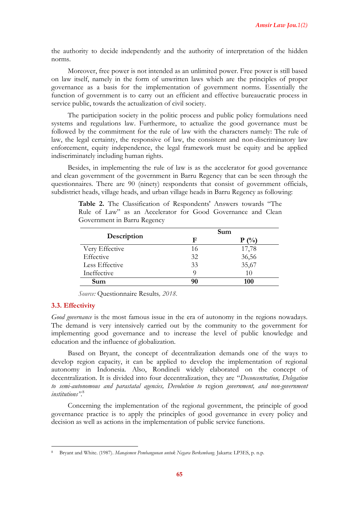the authority to decide independently and the authority of interpretation of the hidden norms.

Moreover, free power is not intended as an unlimited power. Free power is still based on law itself, namely in the form of unwritten laws which are the principles of proper governance as a basis for the implementation of government norms. Essentially the function of government is to carry out an efficient and effective bureaucratic process in service public, towards the actualization of civil society.

The participation society in the politic process and public policy formulations need systems and regulations law. Furthermore, to actualize the good governance must be followed by the commitment for the rule of law with the characters namely: The rule of law, the legal certainty, the responsive of law, the consistent and non-discriminatory law enforcement, equity independence, the legal framework must be equity and be applied indiscriminately including human rights.

Besides, in implementing the rule of law is as the accelerator for good governance and clean government of the government in Barru Regency that can be seen through the questionnaires. There are 90 (ninety) respondents that consist of government officials, subdistrict heads, village heads, and urban village heads in Barru Regency as following:

| Description    |    | Sum            |
|----------------|----|----------------|
|                | F  | $($ %)<br>P    |
| Very Effective | 16 | 17,78          |
| Effective      | 32 |                |
| Less Effective | 33 | 36,56<br>35,67 |
| Ineffective    | Q  | 10             |
| Sum            | 90 | 100            |

**Table 2.** The Classification of Respondents' Answers towards "The Rule of Law" as an Accelerator for Good Governance and Clean Government in Barru Regency

*Source:* Questionnaire Results*, 2018.*

# **3.3. Effectivity**

**.** 

*Good governance* is the most famous issue in the era of autonomy in the regions nowadays. The demand is very intensively carried out by the community to the government for implementing good governance and to increase the level of public knowledge and education and the influence of globalization.

Based on Bryant, the concept of decentralization demands one of the ways to develop region capacity, it can be applied to develop the implementation of regional autonomy in Indonesia. Also, Rondineli widely elaborated on the concept of decentralization. It is divided into four decentralization, they are "*Deconcentration, Delegation to semi-autonomous and parastatal agencies, Devolution to* region *government, and non-government institutions".* 8

Concerning the implementation of the regional government, the principle of good governance practice is to apply the principles of good governance in every policy and decision as well as actions in the implementation of public service functions.

<sup>8</sup> Bryant and White. (1987). *Manajemen Pembangunan untuk Negara Berkembang.* Jakarta: LP3ES, p. n.p.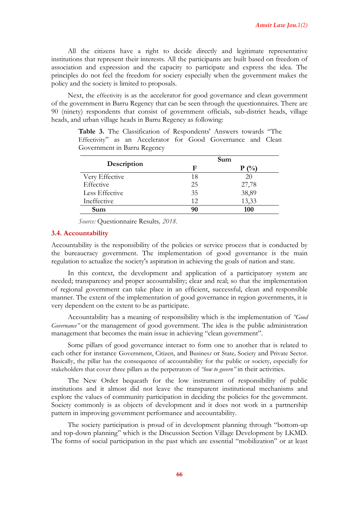All the citizens have a right to decide directly and legitimate representative institutions that represent their interests. All the participants are built based on freedom of association and expression and the capacity to participate and express the idea. The principles do not feel the freedom for society especially when the government makes the policy and the society is limited to proposals.

Next, the effectivity is as the accelerator for good governance and clean government of the government in Barru Regency that can be seen through the questionnaires. There are 90 (ninety) respondents that consist of government officials, sub-district heads, village heads, and urban village heads in Barru Regency as following:

**Table 3.** The Classification of Respondents' Answers towards "The Effectivity" as an Accelerator for Good Governance and Clean Government in Barru Regency

|                |    | Sum     |
|----------------|----|---------|
| Description    | F  | $P(\%)$ |
| Very Effective | 18 | 20      |
| Effective      | 25 | 27,78   |
| Less Effective | 35 | 38,89   |
| Ineffective    | 12 | 13,33   |
| Sum            | 90 | 100     |

*Source:* Questionnaire Results*, 2018.*

## **3.4. Accountability**

Accountability is the responsibility of the policies or service process that is conducted by the bureaucracy government. The implementation of good governance is the main regulation to actualize the society's aspiration in achieving the goals of nation and state.

In this context, the development and application of a participatory system are needed; transparency and proper accountability; clear and real; so that the implementation of regional government can take place in an efficient, successful, clean and responsible manner. The extent of the implementation of good governance in region governments, it is very dependent on the extent to be as participate.

Accountability has a meaning of responsibility which is the implementation of *"Good Governance"* or the management of good government. The idea is the public administration management that becomes the main issue in achieving "clean government".

Some pillars of good governance interact to form one to another that is related to each other for instance Government, Citizen, and Busines*s* or State*,* Society and Private Sector. Basically, the pillar has the consequence of accountability for the public or society, especially for stakeholders that cover three pillars as the perpetrators of *"how to govern"* in their activities.

The New Order bequeath for the low instrument of responsibility of public institutions and it almost did not leave the transparent institutional mechanisms and explore the values of community participation in deciding the policies for the government. Society commonly is as objects of development and it does not work in a partnership pattern in improving government performance and accountability.

The society participation is proud of in development planning through "bottom-up and top-down planning" which is the Discussion Section Village Development by LKMD. The forms of social participation in the past which are essential "mobilization" or at least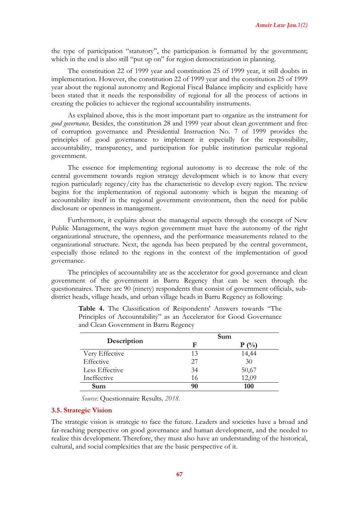the type of participation "statutory", the participation is formatted by the government; which in the end is also still "put up on" for region democratization in planning.

The constitution 22 of 1999 year and constitution 25 of 1999 year, it still doubts in implementation. However, the constitution 22 of 1999 year and the constitution 25 of 1999 year about the regional autonomy and Regional Fiscal Balance implicity and explicitly have been stated that it needs the responsibility of regional for all the process of actions in creating the policies to achiever the regional accountability instruments.

As explained above, this is the most important part to organize as the instrument for *good governance*. Besides, the constitution 28 and 1999 year about clean government and free of corruption governance and Presidential Instruction No. 7 of 1999 provides the principles of good governance to implement it especially for the responsibility, accountability, transparency, and participation for public institution particular regional government.

The essence for implementing regional autonomy is to decrease the role of the central government towards region strategy development which is to know that every region particularly regency/city has the characteristic to develop every region. The review begins for the implementation of regional autonomy which is begun the meaning of accountability itself in the regional government environment, then the need for public disclosure or openness in management.

Furthermore, it explains about the managerial aspects through the concept of New Public Management, the ways region government must have the autonomy of the right organizational structure, the openness, and the performance measurements related to the organizational structure. Next, the agenda has been prepared by the central government, especially those related to the regions in the context of the implementation of good governance.

The principles of accountability are as the accelerator for good governance and clean government of the government in Barru Regency that can be seen through the questionnaires. There are 90 (ninety) respondents that consist of government officials, subdistrict heads, village heads, and urban village heads in Barru Regency as following:

|                |    | Sum     |
|----------------|----|---------|
| Description    | F  | $P(\%)$ |
| Very Effective | 13 | 14,44   |
| Effective      | 27 | 30      |
| Less Effective | 34 | 50,67   |
| Ineffective    | 16 | 12,09   |
| Sum            | 90 | 100     |

**Table 4.** The Classification of Respondents' Answers towards "The Principles of Accountability" as an Accelerator for Good Governance and Clean Government in Barru Regency

*Source:* Questionnaire Results*, 2018.*

#### **3.5. Strategic Vision**

The strategic vision is strategic to face the future. Leaders and societies have a broad and far-reaching perspective on good governance and human development, and the needed to realize this development. Therefore, they must also have an understanding of the historical, cultural, and social complexities that are the basic perspective of it.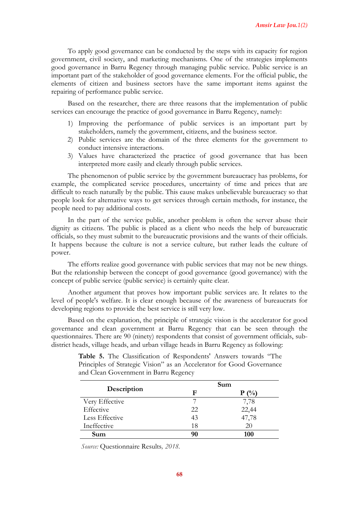To apply good governance can be conducted by the steps with its capacity for region government, civil society, and marketing mechanisms. One of the strategies implements good governance in Barru Regency through managing public service. Public service is an important part of the stakeholder of good governance elements. For the official public, the elements of citizen and business sectors have the same important items against the repairing of performance public service.

Based on the researcher, there are three reasons that the implementation of public services can encourage the practice of good governance in Barru Regency, namely:

- 1) Improving the performance of public services is an important part by stakeholders, namely the government, citizens, and the business sector.
- 2) Public services are the domain of the three elements for the government to conduct intensive interactions.
- 3) Values have characterized the practice of good governance that has been interpreted more easily and clearly through public services.

The phenomenon of public service by the government bureaucracy has problems, for example, the complicated service procedures, uncertainty of time and prices that are difficult to reach naturally by the public. This cause makes unbelievable bureaucracy so that people look for alternative ways to get services through certain methods, for instance, the people need to pay additional costs.

In the part of the service public, another problem is often the server abuse their dignity as citizens. The public is placed as a client who needs the help of bureaucratic officials, so they must submit to the bureaucratic provisions and the wants of their officials. It happens because the culture is not a service culture, but rather leads the culture of power.

The efforts realize good governance with public services that may not be new things. But the relationship between the concept of good governance (good governance) with the concept of public service (public service) is certainly quite clear.

Another argument that proves how important public services are. It relates to the level of people's welfare. It is clear enough because of the awareness of bureaucrats for developing regions to provide the best service is still very low.

Based on the explanation, the principle of strategic vision is the accelerator for good governance and clean government at Barru Regency that can be seen through the questionnaires. There are 90 (ninety) respondents that consist of government officials, subdistrict heads, village heads, and urban village heads in Barru Regency as following:

|                |    | Sum     |
|----------------|----|---------|
| Description    | F  | $P(\%)$ |
| Very Effective |    | 7,78    |
| Effective      | 22 | 22,44   |
| Less Effective | 43 | 47,78   |
| Ineffective    | 18 | 20      |
| Sum            | 90 | 100     |

**Table 5.** The Classification of Respondents' Answers towards "The Principles of Strategic Vision" as an Accelerator for Good Governance and Clean Government in Barru Regency

*Source:* Questionnaire Results*, 2018.*